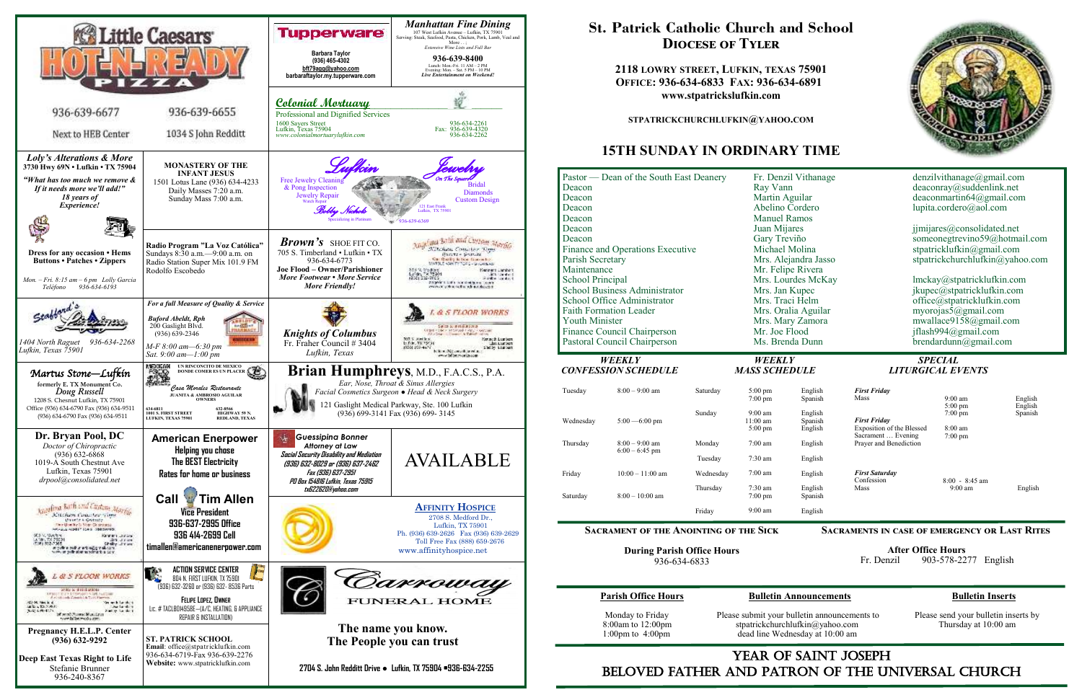

## YEAR OF SAINT JOSEPH beloved father AND Patron of the Universal Church

 Monday to Friday Please submit your bulletin announcements to Please send your bulletin inserts by 8:00am to 12:00pm stpatrickchurchlufkin@yahoo.com Thursday at 10:00 am 1:00pm to 4:00pm dead line Wednesday at 10:00 am dead line Wednesday at 10:00 am

## **St. Patrick Catholic Church and School Diocese of Tyler**

**2118 LOWRY STREET, LUFKIN, TEXAS 75901 OFFICE: 936-634-6833 FAX: 936-634-6891 www.stpatrickslufkin.com** 

**STPATRICKCHURCHLUFKIN@YAHOO.COM**

## **15TH SUNDAY IN ORDINARY TIME**



### **Parish Office Hours Bulletin Announcements Bulletin Inserts**

| Deacon<br>Deacon<br>Deacon<br>Deacon<br>Deacon<br>Deacon<br>Parish Secretary<br>Maintenance<br>School Principal       | Pastor — Dean of the South East Deanery<br>Finance and Operations Executive<br><b>School Business Administrator</b><br>School Office Administrator |                                                                             | Ray Vann<br>Martin Aguilar<br><b>Manuel Ramos</b><br>Juan Mijares<br>Gary Treviño<br>Michael Molina<br>Mrs. Jan Kupec | Fr. Denzil Vithanage<br>Abelino Cordero<br>Mrs. Alejandra Jasso<br>Mr. Felipe Rivera<br>Mrs. Lourdes McKay<br>Mrs. Traci Helm |                                                                        | denzilvithar<br>deaconray@<br>deaconmart<br>lupita.corde<br>jimijares@c<br>someonegtr<br>stpatrickluf<br>stpatrickchu<br>lmckay@st<br>jkupec@stp<br>office@stpa |
|-----------------------------------------------------------------------------------------------------------------------|----------------------------------------------------------------------------------------------------------------------------------------------------|-----------------------------------------------------------------------------|-----------------------------------------------------------------------------------------------------------------------|-------------------------------------------------------------------------------------------------------------------------------|------------------------------------------------------------------------|-----------------------------------------------------------------------------------------------------------------------------------------------------------------|
| <b>Faith Formation Leader</b><br><b>Youth Minister</b><br>Finance Council Chairperson<br>Pastoral Council Chairperson |                                                                                                                                                    | Mrs. Oralia Aguilar<br>Mrs. Mary Zamora<br>Mr. Joe Flood<br>Ms. Brenda Dunn |                                                                                                                       | myorojas5@<br>mwallace91<br>jflash $994@$<br>brendardun                                                                       |                                                                        |                                                                                                                                                                 |
| <b>WEEKLY</b><br><b>CONFESSION SCHEDULE</b>                                                                           |                                                                                                                                                    | <b>WEEKLY</b><br><b>MASS SCHEDULE</b>                                       |                                                                                                                       | <b>SPECIAL</b><br><b>LITURGICAL E</b>                                                                                         |                                                                        |                                                                                                                                                                 |
| Tuesday                                                                                                               | $8:00 - 9:00$ am                                                                                                                                   | Saturday                                                                    | $5:00$ pm<br>$7:00$ pm                                                                                                | English<br>Spanish                                                                                                            | <b>First Friday</b><br>Mass                                            | 9:00<br>5:00                                                                                                                                                    |
| Wednesday                                                                                                             | $5:00 - 6:00$ pm                                                                                                                                   | Sunday                                                                      | $9:00 \text{ am}$<br>11:00 am<br>$5:00 \text{ pm}$                                                                    | English<br>Spanish<br>English                                                                                                 | <b>First Friday</b><br>Exposition of the Blessed<br>Sacrament  Evening | 7:00<br>8:00<br>7:00                                                                                                                                            |
| Thursday                                                                                                              | $8:00 - 9:00$ am<br>$6:00 - 6:45$ pm                                                                                                               | Monday                                                                      | $7:00$ am                                                                                                             | English                                                                                                                       | Prayer and Benediction                                                 |                                                                                                                                                                 |
|                                                                                                                       |                                                                                                                                                    | Tuesday                                                                     | $7:30$ am                                                                                                             | English                                                                                                                       |                                                                        |                                                                                                                                                                 |
| Friday                                                                                                                | $10:00 - 11:00$ am                                                                                                                                 | Wednesday                                                                   | $7:00$ am                                                                                                             | English                                                                                                                       | <b>First Saturday</b><br>Confession                                    | 8:00                                                                                                                                                            |
| Saturday                                                                                                              | $8:00 - 10:00$ am                                                                                                                                  | Thursday                                                                    | 7:30 am<br>$7:00 \text{ pm}$                                                                                          | English<br>Spanish                                                                                                            | Mass                                                                   | 9:0                                                                                                                                                             |
|                                                                                                                       |                                                                                                                                                    | Friday                                                                      | 9:00 am                                                                                                               | English                                                                                                                       |                                                                        |                                                                                                                                                                 |
| <b>SACRAMENT OF THE ANOINTING OF THE SICK</b><br><b>SACRAMENTS IN CASE OF EMERG</b>                                   |                                                                                                                                                    |                                                                             |                                                                                                                       |                                                                                                                               |                                                                        |                                                                                                                                                                 |

**During Parish Office Hours**  936-634-6833

### **Sacraments in case of emergency or Last Rites**

 **After Office Hours**  Fr. Denzil 903-578-2277 English

# *CONFESSION SCHEDULE MASS SCHEDULE LITURGICAL EVENTS*

| English            | <b>First Friday</b>       |                                       |         |
|--------------------|---------------------------|---------------------------------------|---------|
| Spanish            | Mass                      | $9:00$ am                             | English |
|                    |                           | $5:00 \text{ pm}$                     | English |
| English            |                           | $7:00 \text{ pm}$                     | Spanish |
| Spanish            | <b>First Friday</b>       |                                       |         |
| English            | Exposition of the Blessed | $8:00 \text{ am}$                     |         |
|                    | Sacrament  Evening        | $7:00 \text{ pm}$                     |         |
| English            | Prayer and Benediction    |                                       |         |
| English            |                           |                                       |         |
| English            | <b>First Saturday</b>     |                                       |         |
| English<br>Spanish | Confession<br>Mass        | $8:00 - 8:45$ am<br>$9:00 \text{ am}$ | English |
| English            |                           |                                       |         |